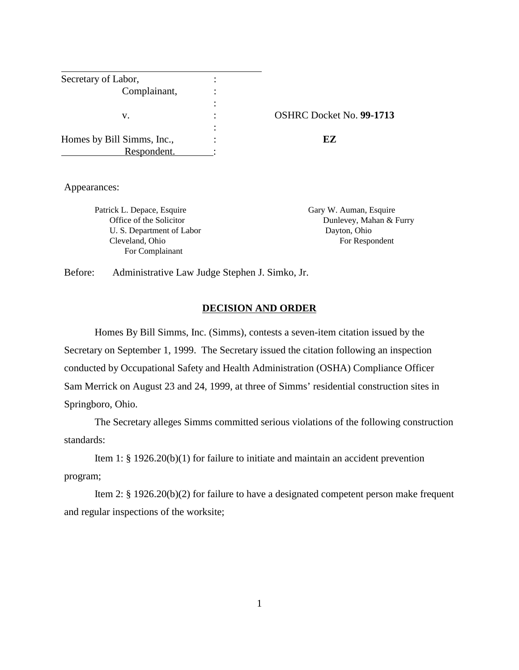| Secretary of Labor,        |                          |
|----------------------------|--------------------------|
| Complainant,               |                          |
|                            |                          |
| v.                         | OSHRC Docket No. 99-1713 |
|                            |                          |
| Homes by Bill Simms, Inc., | EZ                       |
| Respondent.                |                          |

Appearances:

Patrick L. Depace, Esquire Gary W. Auman, Esquire Gary W. Auman, Esquire U. S. Department of Labor Dayton, Ohio Cleveland, Ohio For Respondent For Complainant

Office of the Solicitor **Dunlevey**, Mahan & Furry

Before: Administrative Law Judge Stephen J. Simko, Jr.

### **DECISION AND ORDER**

Homes By Bill Simms, Inc. (Simms), contests a seven-item citation issued by the Secretary on September 1, 1999. The Secretary issued the citation following an inspection conducted by Occupational Safety and Health Administration (OSHA) Compliance Officer Sam Merrick on August 23 and 24, 1999, at three of Simms' residential construction sites in Springboro, Ohio.

The Secretary alleges Simms committed serious violations of the following construction standards:

Item 1: § 1926.20(b)(1) for failure to initiate and maintain an accident prevention program;

Item 2: § 1926.20(b)(2) for failure to have a designated competent person make frequent and regular inspections of the worksite;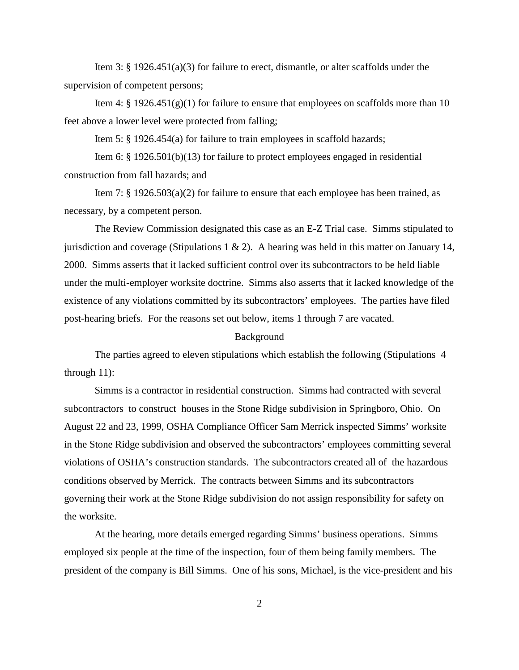Item 3:  $\S$  1926.451(a)(3) for failure to erect, dismantle, or alter scaffolds under the supervision of competent persons;

Item 4:  $\S$  1926.451(g)(1) for failure to ensure that employees on scaffolds more than 10 feet above a lower level were protected from falling;

Item 5: § 1926.454(a) for failure to train employees in scaffold hazards;

Item 6: § 1926.501(b)(13) for failure to protect employees engaged in residential construction from fall hazards; and

Item 7:  $\S$  1926.503(a)(2) for failure to ensure that each employee has been trained, as necessary, by a competent person.

The Review Commission designated this case as an E-Z Trial case. Simms stipulated to jurisdiction and coverage (Stipulations 1  $\&$  2). A hearing was held in this matter on January 14, 2000. Simms asserts that it lacked sufficient control over its subcontractors to be held liable under the multi-employer worksite doctrine. Simms also asserts that it lacked knowledge of the existence of any violations committed by its subcontractors' employees. The parties have filed post-hearing briefs. For the reasons set out below, items 1 through 7 are vacated.

#### Background

The parties agreed to eleven stipulations which establish the following (Stipulations 4 through 11):

Simms is a contractor in residential construction. Simms had contracted with several subcontractors to construct houses in the Stone Ridge subdivision in Springboro, Ohio. On August 22 and 23, 1999, OSHA Compliance Officer Sam Merrick inspected Simms' worksite in the Stone Ridge subdivision and observed the subcontractors' employees committing several violations of OSHA's construction standards. The subcontractors created all of the hazardous conditions observed by Merrick. The contracts between Simms and its subcontractors governing their work at the Stone Ridge subdivision do not assign responsibility for safety on the worksite.

At the hearing, more details emerged regarding Simms' business operations. Simms employed six people at the time of the inspection, four of them being family members. The president of the company is Bill Simms. One of his sons, Michael, is the vice-president and his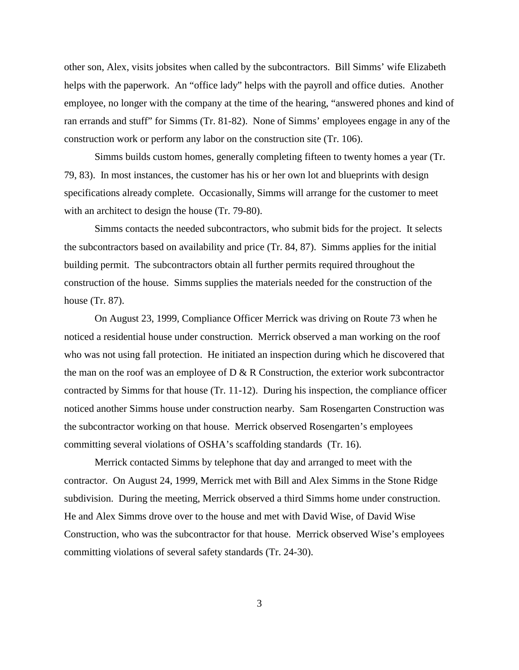other son, Alex, visits jobsites when called by the subcontractors. Bill Simms' wife Elizabeth helps with the paperwork. An "office lady" helps with the payroll and office duties. Another employee, no longer with the company at the time of the hearing, "answered phones and kind of ran errands and stuff" for Simms (Tr. 81-82). None of Simms' employees engage in any of the construction work or perform any labor on the construction site (Tr. 106).

Simms builds custom homes, generally completing fifteen to twenty homes a year (Tr. 79, 83). In most instances, the customer has his or her own lot and blueprints with design specifications already complete. Occasionally, Simms will arrange for the customer to meet with an architect to design the house (Tr. 79-80).

Simms contacts the needed subcontractors, who submit bids for the project. It selects the subcontractors based on availability and price (Tr. 84, 87). Simms applies for the initial building permit. The subcontractors obtain all further permits required throughout the construction of the house. Simms supplies the materials needed for the construction of the house (Tr. 87).

On August 23, 1999, Compliance Officer Merrick was driving on Route 73 when he noticed a residential house under construction. Merrick observed a man working on the roof who was not using fall protection. He initiated an inspection during which he discovered that the man on the roof was an employee of  $D \& R$  Construction, the exterior work subcontractor contracted by Simms for that house (Tr. 11-12). During his inspection, the compliance officer noticed another Simms house under construction nearby. Sam Rosengarten Construction was the subcontractor working on that house. Merrick observed Rosengarten's employees committing several violations of OSHA's scaffolding standards (Tr. 16).

Merrick contacted Simms by telephone that day and arranged to meet with the contractor. On August 24, 1999, Merrick met with Bill and Alex Simms in the Stone Ridge subdivision. During the meeting, Merrick observed a third Simms home under construction. He and Alex Simms drove over to the house and met with David Wise, of David Wise Construction, who was the subcontractor for that house. Merrick observed Wise's employees committing violations of several safety standards (Tr. 24-30).

3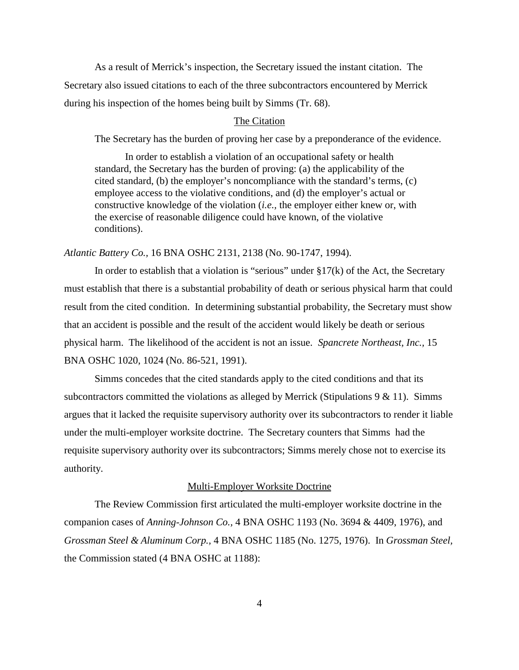As a result of Merrick's inspection, the Secretary issued the instant citation. The Secretary also issued citations to each of the three subcontractors encountered by Merrick during his inspection of the homes being built by Simms (Tr. 68).

## The Citation

The Secretary has the burden of proving her case by a preponderance of the evidence.

In order to establish a violation of an occupational safety or health standard, the Secretary has the burden of proving: (a) the applicability of the cited standard, (b) the employer's noncompliance with the standard's terms, (c) employee access to the violative conditions, and (d) the employer's actual or constructive knowledge of the violation (*i.e.,* the employer either knew or, with the exercise of reasonable diligence could have known, of the violative conditions).

## *Atlantic Battery Co.,* 16 BNA OSHC 2131, 2138 (No. 90-1747, 1994).

In order to establish that a violation is "serious" under  $\S17(k)$  of the Act, the Secretary must establish that there is a substantial probability of death or serious physical harm that could result from the cited condition. In determining substantial probability, the Secretary must show that an accident is possible and the result of the accident would likely be death or serious physical harm. The likelihood of the accident is not an issue. *Spancrete Northeast, Inc.,* 15 BNA OSHC 1020, 1024 (No. 86-521, 1991).

Simms concedes that the cited standards apply to the cited conditions and that its subcontractors committed the violations as alleged by Merrick (Stipulations  $9 < 11$ ). Simms argues that it lacked the requisite supervisory authority over its subcontractors to render it liable under the multi-employer worksite doctrine. The Secretary counters that Simms had the requisite supervisory authority over its subcontractors; Simms merely chose not to exercise its authority.

#### Multi-Employer Worksite Doctrine

The Review Commission first articulated the multi-employer worksite doctrine in the companion cases of *Anning-Johnson Co.,* 4 BNA OSHC 1193 (No. 3694 & 4409, 1976), and *Grossman Steel & Aluminum Corp.,* 4 BNA OSHC 1185 (No. 1275, 1976). In *Grossman Steel,* the Commission stated (4 BNA OSHC at 1188):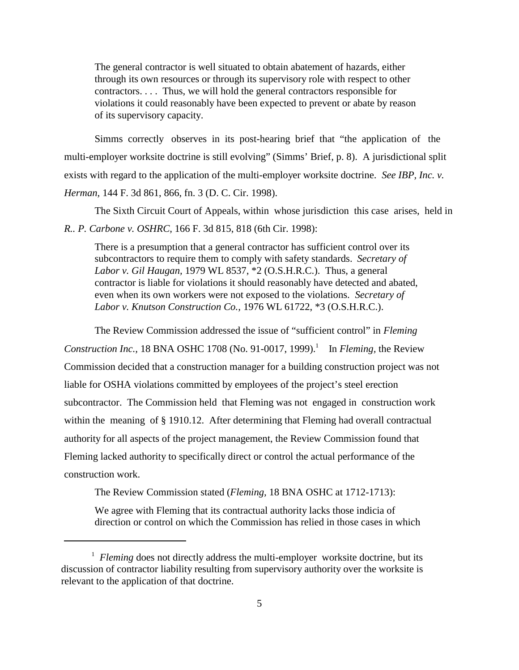The general contractor is well situated to obtain abatement of hazards, either through its own resources or through its supervisory role with respect to other contractors. . . . Thus, we will hold the general contractors responsible for violations it could reasonably have been expected to prevent or abate by reason of its supervisory capacity.

Simms correctly observes in its post-hearing brief that "the application of the multi-employer worksite doctrine is still evolving" (Simms' Brief, p. 8). A jurisdictional split exists with regard to the application of the multi-employer worksite doctrine. *See IBP, Inc. v. Herman,* 144 F. 3d 861, 866, fn. 3 (D. C. Cir. 1998).

The Sixth Circuit Court of Appeals, within whose jurisdiction this case arises, held in *R.. P. Carbone v. OSHRC,* 166 F. 3d 815, 818 (6th Cir. 1998):

There is a presumption that a general contractor has sufficient control over its subcontractors to require them to comply with safety standards. *Secretary of Labor v. Gil Haugan,* 1979 WL 8537, \*2 (O.S.H.R.C.). Thus, a general contractor is liable for violations it should reasonably have detected and abated, even when its own workers were not exposed to the violations. *Secretary of Labor v. Knutson Construction Co.,* 1976 WL 61722, \*3 (O.S.H.R.C.).

The Review Commission addressed the issue of "sufficient control" in *Fleming Construction Inc.,* 18 BNA OSHC 1708 (No. 91-0017, 1999).<sup>1</sup> In *Fleming*, the Review Commission decided that a construction manager for a building construction project was not liable for OSHA violations committed by employees of the project's steel erection subcontractor. The Commission held that Fleming was not engaged in construction work within the meaning of § 1910.12. After determining that Fleming had overall contractual authority for all aspects of the project management, the Review Commission found that Fleming lacked authority to specifically direct or control the actual performance of the construction work.

The Review Commission stated (*Fleming,* 18 BNA OSHC at 1712-1713):

We agree with Fleming that its contractual authority lacks those indicia of direction or control on which the Commission has relied in those cases in which

<sup>&</sup>lt;sup>1</sup> Fleming does not directly address the multi-employer worksite doctrine, but its discussion of contractor liability resulting from supervisory authority over the worksite is relevant to the application of that doctrine.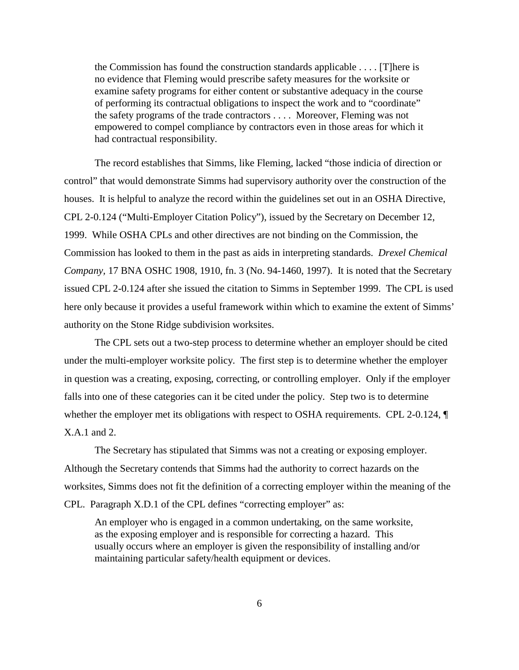the Commission has found the construction standards applicable . . . . [T]here is no evidence that Fleming would prescribe safety measures for the worksite or examine safety programs for either content or substantive adequacy in the course of performing its contractual obligations to inspect the work and to "coordinate" the safety programs of the trade contractors . . . . Moreover, Fleming was not empowered to compel compliance by contractors even in those areas for which it had contractual responsibility.

The record establishes that Simms, like Fleming, lacked "those indicia of direction or control" that would demonstrate Simms had supervisory authority over the construction of the houses. It is helpful to analyze the record within the guidelines set out in an OSHA Directive, CPL 2-0.124 ("Multi-Employer Citation Policy"), issued by the Secretary on December 12, 1999. While OSHA CPLs and other directives are not binding on the Commission, the Commission has looked to them in the past as aids in interpreting standards. *Drexel Chemical Company,* 17 BNA OSHC 1908, 1910, fn. 3 (No. 94-1460, 1997). It is noted that the Secretary issued CPL 2-0.124 after she issued the citation to Simms in September 1999. The CPL is used here only because it provides a useful framework within which to examine the extent of Simms' authority on the Stone Ridge subdivision worksites.

The CPL sets out a two-step process to determine whether an employer should be cited under the multi-employer worksite policy. The first step is to determine whether the employer in question was a creating, exposing, correcting, or controlling employer. Only if the employer falls into one of these categories can it be cited under the policy. Step two is to determine whether the employer met its obligations with respect to OSHA requirements. CPL 2-0.124,  $\P$ X.A.1 and 2.

The Secretary has stipulated that Simms was not a creating or exposing employer. Although the Secretary contends that Simms had the authority to correct hazards on the worksites, Simms does not fit the definition of a correcting employer within the meaning of the CPL. Paragraph X.D.1 of the CPL defines "correcting employer" as:

An employer who is engaged in a common undertaking, on the same worksite, as the exposing employer and is responsible for correcting a hazard. This usually occurs where an employer is given the responsibility of installing and/or maintaining particular safety/health equipment or devices.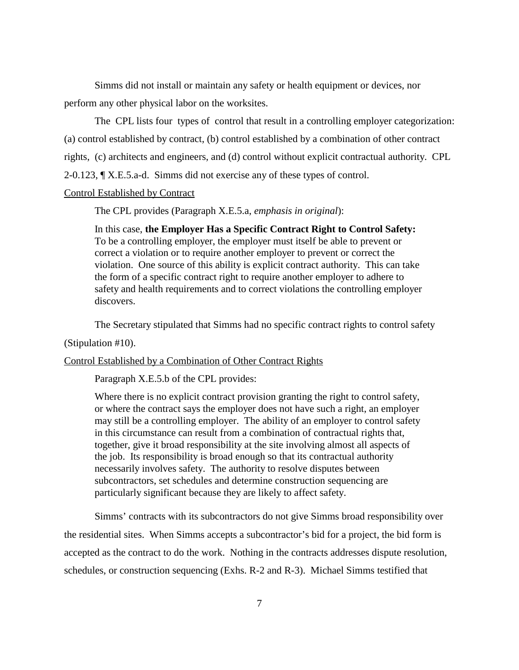Simms did not install or maintain any safety or health equipment or devices, nor perform any other physical labor on the worksites.

The CPL lists four types of control that result in a controlling employer categorization: (a) control established by contract, (b) control established by a combination of other contract rights, (c) architects and engineers, and (d) control without explicit contractual authority. CPL 2-0.123, ¶ X.E.5.a-d. Simms did not exercise any of these types of control.

## Control Established by Contract

The CPL provides (Paragraph X.E.5.a, *emphasis in original*):

In this case, **the Employer Has a Specific Contract Right to Control Safety:** To be a controlling employer, the employer must itself be able to prevent or correct a violation or to require another employer to prevent or correct the violation. One source of this ability is explicit contract authority. This can take the form of a specific contract right to require another employer to adhere to safety and health requirements and to correct violations the controlling employer discovers.

The Secretary stipulated that Simms had no specific contract rights to control safety

#### (Stipulation #10).

Control Established by a Combination of Other Contract Rights

Paragraph X.E.5.b of the CPL provides:

Where there is no explicit contract provision granting the right to control safety, or where the contract says the employer does not have such a right, an employer may still be a controlling employer. The ability of an employer to control safety in this circumstance can result from a combination of contractual rights that, together, give it broad responsibility at the site involving almost all aspects of the job. Its responsibility is broad enough so that its contractual authority necessarily involves safety. The authority to resolve disputes between subcontractors, set schedules and determine construction sequencing are particularly significant because they are likely to affect safety.

Simms' contracts with its subcontractors do not give Simms broad responsibility over the residential sites. When Simms accepts a subcontractor's bid for a project, the bid form is accepted as the contract to do the work. Nothing in the contracts addresses dispute resolution, schedules, or construction sequencing (Exhs. R-2 and R-3). Michael Simms testified that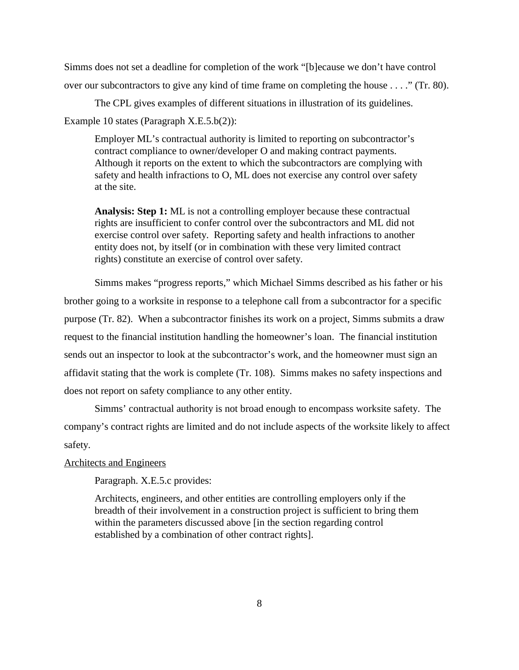Simms does not set a deadline for completion of the work "[b]ecause we don't have control over our subcontractors to give any kind of time frame on completing the house . . . ." (Tr. 80).

The CPL gives examples of different situations in illustration of its guidelines.

Example 10 states (Paragraph X.E.5.b(2)):

Employer ML's contractual authority is limited to reporting on subcontractor's contract compliance to owner/developer O and making contract payments. Although it reports on the extent to which the subcontractors are complying with safety and health infractions to O, ML does not exercise any control over safety at the site.

**Analysis: Step 1:** ML is not a controlling employer because these contractual rights are insufficient to confer control over the subcontractors and ML did not exercise control over safety. Reporting safety and health infractions to another entity does not, by itself (or in combination with these very limited contract rights) constitute an exercise of control over safety.

Simms makes "progress reports," which Michael Simms described as his father or his brother going to a worksite in response to a telephone call from a subcontractor for a specific purpose (Tr. 82). When a subcontractor finishes its work on a project, Simms submits a draw request to the financial institution handling the homeowner's loan. The financial institution sends out an inspector to look at the subcontractor's work, and the homeowner must sign an affidavit stating that the work is complete (Tr. 108). Simms makes no safety inspections and does not report on safety compliance to any other entity.

Simms' contractual authority is not broad enough to encompass worksite safety. The company's contract rights are limited and do not include aspects of the worksite likely to affect safety.

## Architects and Engineers

Paragraph. X.E.5.c provides:

Architects, engineers, and other entities are controlling employers only if the breadth of their involvement in a construction project is sufficient to bring them within the parameters discussed above [in the section regarding control established by a combination of other contract rights].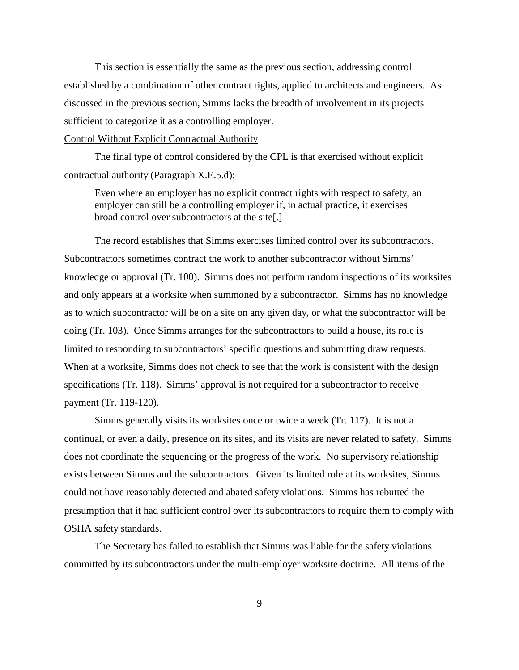This section is essentially the same as the previous section, addressing control established by a combination of other contract rights, applied to architects and engineers. As discussed in the previous section, Simms lacks the breadth of involvement in its projects sufficient to categorize it as a controlling employer.

## Control Without Explicit Contractual Authority

The final type of control considered by the CPL is that exercised without explicit contractual authority (Paragraph X.E.5.d):

Even where an employer has no explicit contract rights with respect to safety, an employer can still be a controlling employer if, in actual practice, it exercises broad control over subcontractors at the site[.]

The record establishes that Simms exercises limited control over its subcontractors. Subcontractors sometimes contract the work to another subcontractor without Simms' knowledge or approval (Tr. 100). Simms does not perform random inspections of its worksites and only appears at a worksite when summoned by a subcontractor. Simms has no knowledge as to which subcontractor will be on a site on any given day, or what the subcontractor will be doing (Tr. 103). Once Simms arranges for the subcontractors to build a house, its role is limited to responding to subcontractors' specific questions and submitting draw requests. When at a worksite, Simms does not check to see that the work is consistent with the design specifications (Tr. 118). Simms' approval is not required for a subcontractor to receive payment (Tr. 119-120).

Simms generally visits its worksites once or twice a week (Tr. 117). It is not a continual, or even a daily, presence on its sites, and its visits are never related to safety. Simms does not coordinate the sequencing or the progress of the work. No supervisory relationship exists between Simms and the subcontractors. Given its limited role at its worksites, Simms could not have reasonably detected and abated safety violations. Simms has rebutted the presumption that it had sufficient control over its subcontractors to require them to comply with OSHA safety standards.

The Secretary has failed to establish that Simms was liable for the safety violations committed by its subcontractors under the multi-employer worksite doctrine. All items of the

9